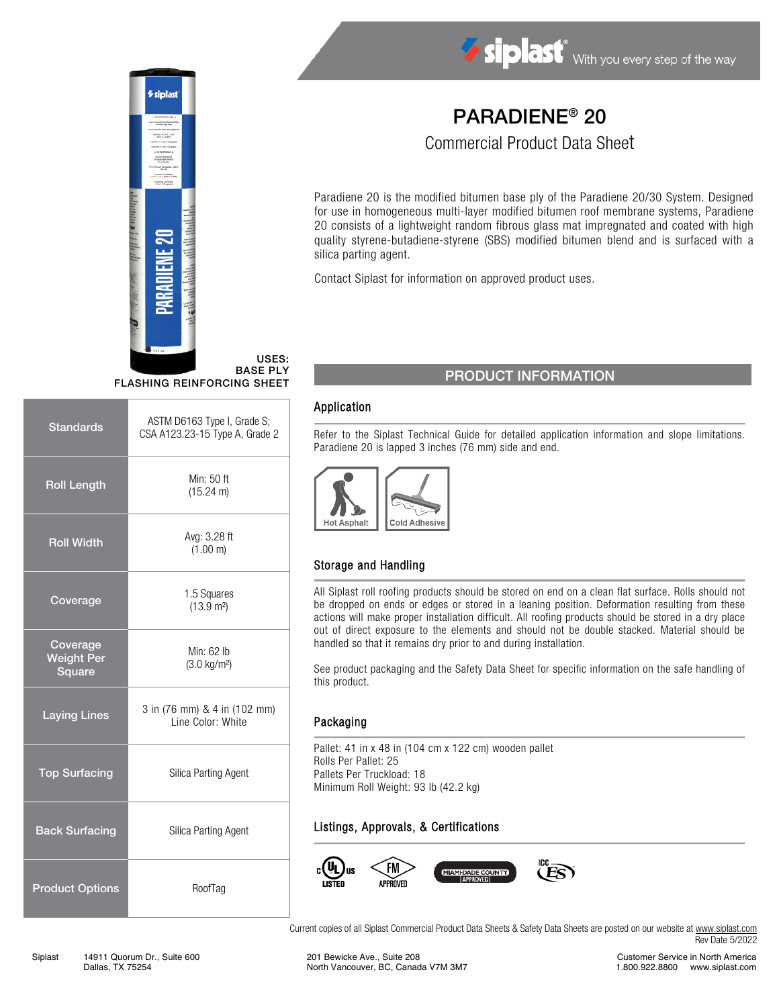

Siplast With you every step of the way

# PARADIENE® 20

Commercial Product Data Sheet

Paradiene 20 is the modified bitumen base ply of the Paradiene 20/30 System. Designed for use in homogeneous multi-layer modified bitumen roof membrane systems, Paradiene 20 consists of a lightweight random fibrous glass mat impregnated and coated with high quality styrene-butadiene-styrene (SBS) modified bitumen blend and is surfaced with a silica parting agent.

Contact Siplast for information on approved product uses.

## PRODUCT INFORMATION

#### Application

Refer to the Siplast Technical Guide for detailed application information and slope limitations. Paradiene 20 is lapped 3 inches (76 mm) side and end.



## Storage and Handling

All Siplast roll roofing products should be stored on end on a clean flat surface. Rolls should not be dropped on ends or edges or stored in a leaning position. Deformation resulting from these actions will make proper installation difficult. All roofing products should be stored in a dry place out of direct exposure to the elements and should not be double stacked. Material should be handled so that it remains dry prior to and during installation.

See product packaging and the Safety Data Sheet for specific information on the safe handling of this product.

#### Packaging

Pallet: 41 in x 48 in (104 cm x 122 cm) wooden pallet Rolls Per Pallet: 25 Pallets Per Truckload: 18 Minimum Roll Weight: 93 lb (42.2 kg)

## Listings, Approvals, & Certifications



Current copies of all Siplast Commercial Product Data Sheets & Safety Data Sheets are posted on our website a[t www.siplast.com](http://www.siplast.com/) Rev Date 5/2022

USES: BASE PLY FLASHING REINFORCING SHEET

| <b>Standards</b>                        | ASTM D6163 Type I, Grade S;<br>CSA A123.23-15 Type A, Grade 2 |  |
|-----------------------------------------|---------------------------------------------------------------|--|
| <b>Roll Length</b>                      | Min: 50 ft<br>(15.24 m)                                       |  |
| <b>Roll Width</b>                       | Avg: 3.28 ft<br>(1.00 m)                                      |  |
| Coverage                                | 1.5 Squares<br>$(13.9 \text{ m}^2)$                           |  |
| Coverage<br><b>Weight Per</b><br>Square | Min: 62 lb<br>$(3.0 \text{ kg/m}^2)$                          |  |
| <b>Laying Lines</b>                     | 3 in (76 mm) & 4 in (102 mm)<br>Line Color: White             |  |
| <b>Top Surfacing</b>                    | Silica Parting Agent                                          |  |
| <b>Back Surfacing</b>                   | Silica Parting Agent                                          |  |
| <b>Product Options</b>                  | RoofTag                                                       |  |